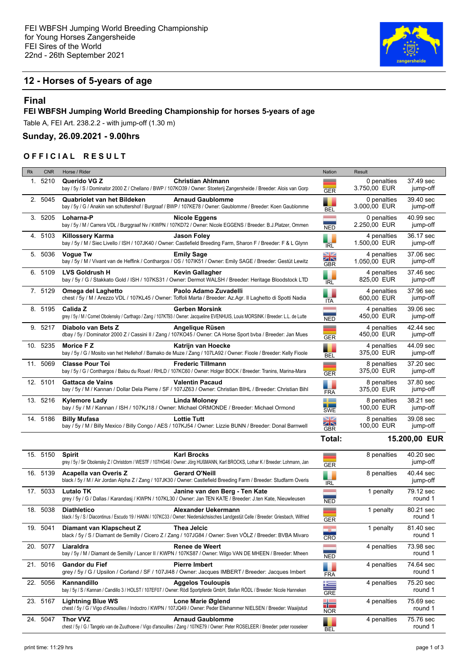

# **12 - Horses of 5-years of age**

## **Final**

#### **FEI WBFSH Jumping World Breeding Championship for horses 5-years of age**

Table A, FEI Art. 238.2.2 - with jump-off (1.30 m)

### **Sunday, 26.09.2021 - 9.00hrs**

#### **OFFICIAL RESULT**

| <b>Rk</b> | <b>CNR</b> | Horse / Rider                                                                                                                                                                     | Nation                         | Result                      |                       |
|-----------|------------|-----------------------------------------------------------------------------------------------------------------------------------------------------------------------------------|--------------------------------|-----------------------------|-----------------------|
|           | 1. 5210    | Querido VG Z<br><b>Christian Ahlmann</b><br>bay / 5y / S / Dominator 2000 Z / Chellano / BWP / 107KO39 / Owner: Stoeterij Zangersheide / Breeder: Alois van Gorp                  | ▃<br><b>GER</b>                | 0 penalties<br>3.750,00 EUR | 37.49 sec<br>jump-off |
|           | 2. 5045    | Quabriolet van het Bildeken<br><b>Arnaud Gaublomme</b><br>bay / 5y / G / Anakin van schuttershof / Burgraaf / BWP / 107KE78 / Owner: Gaublomme / Breeder: Koen Gaublomme          | <b>BEL</b>                     | 0 penalties<br>3.000,00 EUR | 39.40 sec<br>jump-off |
|           | 3. 5205    | Loharna-P<br><b>Nicole Eggens</b><br>bay / 5y / M / Carrera VDL / Burggraaf Nv / KWPN / 107KD72 / Owner: Nicole EGGENS / Breeder: B.J.Platzer, Ommen                              | <b>Contract</b><br><b>NED</b>  | 0 penalties<br>2.250,00 EUR | 40.99 sec<br>jump-off |
|           | 4. 5103    | <b>Jason Foley</b><br><b>Killossery Karma</b><br>bay / 5y / M / Siec Livello / ISH / 107JK40 / Owner: Castlefield Breeding Farm, Sharon F / Breeder: F & L Glynn                  | ٠<br><b>IRL</b>                | 4 penalties<br>1.500,00 EUR | 36.17 sec<br>jump-off |
|           | 5. 5036    | <b>Vogue Tw</b><br><b>Emily Sage</b><br>bay / 5y / M / Vivant van de Heffink / Conthargos / OS / 107IK51 / Owner: Emily SAGE / Breeder: Gestüt Lewitz                             | XK<br>GBR                      | 4 penalties<br>1.050,00 EUR | 37.06 sec<br>jump-off |
|           | 6. 5109    | <b>LVS Goldrush H</b><br>Kevin Gallagher<br>bay / 5y / G / Stakkato Gold / ISH / 107KS31 / Owner: Dermot WALSH / Breeder: Heritage Bloodstock LTD                                 | <b>IRL</b>                     | 4 penalties<br>825,00 EUR   | 37.46 sec<br>jump-off |
|           | 7. 5129    | Omega del Laghetto<br>Paolo Adamo Zuvadelli<br>chest / 5y / M / Arezzo VDL / 107KL45 / Owner: Toffoli Marta / Breeder: Az.Agr. Il Laghetto di Spotti Nadia                        | ITA                            | 4 penalties<br>600,00 EUR   | 37.96 sec<br>jump-off |
|           | 8. 5195    | Calida Z<br><b>Gerben Morsink</b><br>grey / 5y / M / Cornet Obolensky / Carthago / Zang / 107KT93 / Owner: Jacqueline EVENHUIS, Louis MORSINK / Breeder: L.L. de Lutte            | <b>NED</b>                     | 4 penalties<br>450,00 EUR   | 39.06 sec<br>jump-off |
|           | 9. 5217    | Diabolo van Bets Z<br>Angelique Rüsen<br>dbay / 5y / Dominator 2000 Z / Cassini II / Zang / 107KO45 / Owner: CA Horse Sport byba / Breeder: Jan Mues                              | ╾<br><b>GER</b>                | 4 penalties<br>450,00 EUR   | 42.44 sec<br>jump-off |
|           | 10. 5235   | Morice F Z<br>Katrijn van Hoecke<br>bay / 5y / G / Mosito van het Hellehof / Bamako de Muze / Zang / 107LA92 / Owner: Fioole / Breeder: Kelly Fioole                              | <b>BEL</b>                     | 4 penalties<br>375,00 EUR   | 44.09 sec<br>jump-off |
|           | 11. 5069   | <b>Classe Pour Toi</b><br><b>Frederic Tillmann</b><br>bay / 5y / G / Conthargos / Balou du Rouet / RHLD / 107KC60 / Owner: Holger BOCK / Breeder: Tranins, Marina-Mara            | --<br><b>GER</b>               | 8 penalties<br>375,00 EUR   | 37.20 sec<br>jump-off |
|           | 12. 5101   | <b>Valentin Pacaud</b><br>Gattaca de Vains<br>bay / 5y / M / Kannan / Dollar Dela Pierre / SF / 107JZ63 / Owner: Christian BIHL / Breeder: Christian Bihl                         | <b>FRA</b>                     | 8 penalties<br>375,00 EUR   | 37.80 sec<br>jump-off |
|           | 13. 5216   | Linda Moloney<br><b>Kylemore Lady</b><br>bay / 5y / M / Kannan / ISH / 107KJ18 / Owner: Michael ORMONDE / Breeder: Michael Ormond                                                 | <b>The State</b><br><b>SWE</b> | 8 penalties<br>100,00 EUR   | 38.21 sec<br>jump-off |
|           | 14. 5186   | <b>Lottie Tutt</b><br><b>Billy Mufasa</b><br>bay / 5y / M / Billy Mexico / Billy Congo / AES / 107KJ54 / Owner: Lizzie BUNN / Breeder: Donal Barnwell                             | XK<br><b>GBR</b>               | 8 penalties<br>100,00 EUR   | 39.08 sec<br>jump-off |
|           |            |                                                                                                                                                                                   | Total:                         |                             | 15.200,00 EUR         |
|           | 15. 5150   | <b>Karl Brocks</b><br><b>Spirit</b><br>grey / 5y / Sir Obolensky Z / Christdorn / WESTF / 107HG46 / Owner: Jörg HUßMANN, Karl BROCKS, Lothar K / Breeder: Lohmann, Jan            | <b>GER</b>                     | 8 penalties                 | 40.20 sec<br>jump-off |
|           | 16. 5139   | Acapella van Overis Z<br><b>Gerard O'Neill</b><br>black / 5y / M / Air Jordan Alpha Z / Zang / 107JK30 / Owner: Castlefield Breeding Farm / Breeder: Studfarm Overis              | <b>IRL</b>                     | 8 penalties                 | 40.44 sec<br>jump-off |
|           | 17. 5033   | <b>Lutalo TK</b><br>Janine van den Berg - Ten Kate<br>grey / 5y / G / Dallas / Karandasj / KWPN / 107KL30 / Owner: Jan TEN KATE / Breeder: J.ten Kate, Nieuwleusen                | <b>NED</b>                     | 1 penalty                   | 79.12 sec<br>round 1  |
|           | 18. 5038   | <b>Diathletico</b><br>Alexander Uekermann<br>black / 5y / S / Diacontinus / Escudo 19 / HANN / 107KC33 / Owner: Niedersächsisches Landgestüt Celle / Breeder: Griesbach, Wilfried | =<br><b>GER</b>                | 1 penalty                   | 80.21 sec<br>round 1  |
|           | 19. 5041   | Diamant van Klapscheut Z<br>Thea Jelcic<br>black / 5y / S / Diamant de Semilly / Cicero Z / Zang / 107JG84 / Owner: Sven VÖLZ / Breeder: BVBA Mivaro                              | <b>TWO</b><br>CRO              | 1 penalty                   | 81.40 sec<br>round 1  |
|           | 20. 5077   | Liaraldra<br>Renee de Weert<br>bay / 5y / M / Diamant de Semilly / Lancer II / KWPN / 107KS87 / Owner: Wilgo VAN DE MHEEN / Breeder: Mheen                                        | <b>Contract</b><br><b>NED</b>  | 4 penalties                 | 73.98 sec<br>round 1  |
|           | 21. 5016   | <b>Gandor du Fief</b><br><b>Pierre Imbert</b><br>grey / 5y / G / Upsilon / Corland / SF / 107JI48 / Owner: Jacques IMBERT / Breeder: Jacques Imbert                               | ٠<br><b>FRA</b>                | 4 penalties                 | 74.64 sec<br>round 1  |
|           | 22. 5056   | Kannandillo<br><b>Aggelos Touloupis</b><br>bay / 5y / S / Kannan / Candillo 3 / HOLST / 107EF07 / Owner: Rödl Sportpferde GmbH, Stefan RÖDL / Breeder: Nicole Hanneken            | 写<br><b>GRE</b>                | 4 penalties                 | 75.20 sec<br>round 1  |
|           | 23. 5167   | <b>Lightning Blue WS</b><br>Lone Marie Øglend<br>chest / 5y / G / Vigo d'Arsouilles / Indoctro / KWPN / 107JQ49 / Owner: Peder Ellehammer NIELSEN / Breeder: Waaijstud            | ₩<br><b>NOR</b>                | 4 penalties                 | 75.69 sec<br>round 1  |
|           | 24. 5047   | <b>Thor VVZ</b><br><b>Arnaud Gaublomme</b><br>chest / 5y / G / Tangelo van de Zuuthoeve / Vigo d'arsouilles / Zang / 107KE79 / Owner: Peter ROSELEER / Breeder: peter rooseleer   | ۳<br>BEL                       | 4 penalties                 | 75.76 sec<br>round 1  |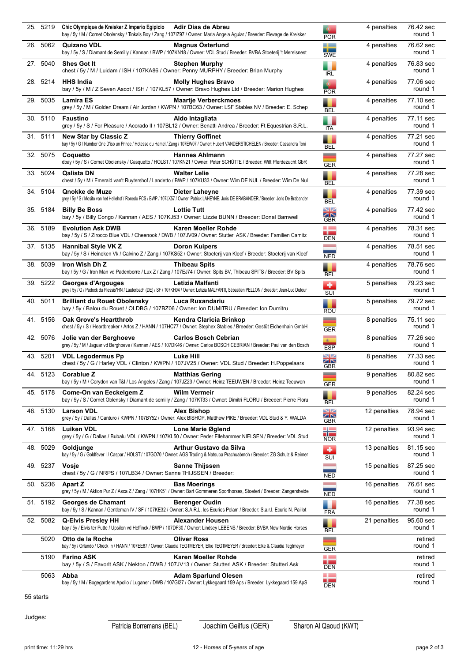| 25. 5219 | Chic Olympique de Kreisker Z Imperio Egipicio<br>Adir Dias de Abreu<br>bay / 5y / M / Cornet Obolensky / Tinka's Boy / Zang / 1071Z97 / Owner: Maria Angela Aguiar / Breeder: Elevage de Kreisker | <b>POR</b>                                             | 4 penalties  | 76.42 sec<br>round 1 |
|----------|---------------------------------------------------------------------------------------------------------------------------------------------------------------------------------------------------|--------------------------------------------------------|--------------|----------------------|
| 26. 5062 | Magnus Österlund<br><b>Quizano VDL</b><br>bay / 5y / S / Diamant de Semilly / Kannan / BWP / 107KN18 / Owner: VDL Stud / Breeder: BVBA Stoeterij 't Merelsnest                                    | <u>a ba</u><br>- -<br><b>SWE</b>                       | 4 penalties  | 76.62 sec<br>round 1 |
| 27. 5040 | <b>Shes Got It</b><br><b>Stephen Murphy</b><br>chest / 5y / M / Luidam / ISH / 107KA86 / Owner: Penny MURPHY / Breeder: Brian Murphy                                                              | <b>IRL</b>                                             | 4 penalties  | 76.83 sec<br>round 1 |
| 28. 5214 | <b>HHS India</b><br><b>Molly Hughes Bravo</b><br>bay / 5y / M / Z Seven Ascot / ISH / 107KL57 / Owner: Bravo Hughes Ltd / Breeder: Marion Hughes                                                  | <b>POR</b>                                             | 4 penalties  | 77.06 sec<br>round 1 |
| 29. 5035 | <b>Lamira ES</b><br><b>Maartje Verberckmoes</b><br>grey / 5y / M / Golden Dream / Air Jordan / KWPN / 107BC63 / Owner: LSF Stables NV / Breeder: E. Schep                                         | <b>BEL</b>                                             | 4 penalties  | 77.10 sec<br>round 1 |
| 30. 5110 | Faustino<br>Aldo Intagliata<br>grey / 5y / S / For Pleasure / Acorado II / 107BL12 / Owner: Benatti Andrea / Breeder: Ft Equestrian S.R.L.                                                        | ITA                                                    | 4 penalties  | 77.11 sec<br>round 1 |
| 31. 5111 | New Star by Classic Z<br><b>Thierry Goffinet</b><br>bay / 5y / G / Number One D'iso un Prince / Hotesse du Hamel / Zang / 107EW07 / Owner: Hubert VANDERSTICHELEN / Breeder: Cassandra Toni       | ٠<br><b>BEL</b>                                        | 4 penalties  | 77.21 sec<br>round 1 |
| 32. 5075 | <b>Hannes Ahlmann</b><br>Coquetto<br>dbay / 5y / S / Cornet Obolensky / Casquetto / HOLST / 107KN21 / Owner: Peter SCHÜTTE / Breeder: Witt Pferdezucht GbR                                        | -<br><b>GER</b>                                        | 4 penalties  | 77.27 sec<br>round 1 |
| 33. 5024 | <b>Qalista DN</b><br><b>Walter Lelie</b><br>chest / 5y / M / Emerald van't Ruytershof / Landetto / BWP / 107KU33 / Owner: Wim DE NUL / Breeder: Wim De Nul                                        | ٠<br><b>BEL</b>                                        | 4 penalties  | 77.28 sec<br>round 1 |
| 34. 5104 | Qnokke de Muze<br>Dieter Laheyne<br>grey / 5y / S / Mosito van het Hellehof / Ronedo FCS / BWP / 107JX57 / Owner: Patrick LAHEYNE, Joris DE BRABANDER / Breeder: Joris De Brabander               | ٠<br><b>BEL</b>                                        | 4 penalties  | 77.39 sec<br>round 1 |
| 35. 5184 | <b>Lottie Tutt</b><br><b>Billy Be Boss</b><br>bay / 5y / Billy Congo / Kannan / AES / 107KJ53 / Owner: Lizzie BUNN / Breeder: Donal Barnwell                                                      | NZ<br>ZN<br>GBR                                        | 4 penalties  | 77.42 sec<br>round 1 |
| 36. 5189 | <b>Evolution Ask DWB</b><br>Karen Moeller Rohde<br>bay / 5y / S / Zirocco Blue VDL / Cheenook / DWB / 107JV09 / Owner: Stutteri ASK / Breeder: Familien Camitz                                    | <b>College</b><br>a ba<br><b>DEN</b>                   | 4 penalties  | 78.31 sec<br>round 1 |
| 37. 5135 | <b>Hannibal Style VK Z</b><br><b>Doron Kuipers</b><br>bay / 5y / S / Heineken Vk / Calvino Z / Zang / 107KS52 / Owner: Stoeterij van Kleef / Breeder: Stoeterij van Kleef                         | <b>Contractor</b><br><b>NED</b>                        | 4 penalties  | 78.51 sec<br>round 1 |
| 38. 5039 | Iron Wish Dh Z<br><b>Thibeau Spits</b><br>bay / 5y / G / Iron Man vd Padenborre / Lux Z / Zang / 107EJ74 / Owner: Spits BV, Thibeau SPITS / Breeder: BV Spits                                     | E<br><b>BEL</b>                                        | 4 penalties  | 78.76 sec<br>round 1 |
| 39. 5222 | Letizia Malfanti<br>Georges d'Argouges<br>grey / 5y / G / Padock du Plessis*HN / Lauterbach (DE) / SF / 107KH04 / Owner: Letizia MALFANTI, Sébastien PELLON / Breeder: Jean-Luc Dufour            | ٠<br>SUI                                               | 5 penalties  | 79.23 sec<br>round 1 |
| 40. 5011 | Luca Ruxandariu<br><b>Brilliant du Rouet Obolensky</b><br>bay / 5y / Balou du Rouet / OLDBG / 107BZ06 / Owner: Ion DUMITRU / Breeder: Ion Dumitru                                                 | ROU                                                    | 5 penalties  | 79.72 sec<br>round 1 |
| 41 5156  | <b>Oak Grove's Heartthrob</b><br>Kendra Claricia Brinkop<br>chest / 5y / S / Heartbreaker / Artos Z / HANN / 107HC77 / Owner: Stephex Stables / Breeder: Gestüt Eichenhain GmbH                   | --<br><b>GER</b>                                       | 8 penalties  | 75.11 sec<br>round 1 |
| 42. 5076 | <b>Carlos Bosch Cebrian</b><br>Jolie van der Berghoeve<br>grey / 5y / M / Jaguar vd Berghoeve / Kannan / AES / 107DK46 / Owner: Carlos BOSCH CEBRIAN / Breeder: Paul van den Bosch                | 图<br><b>ESP</b>                                        | 8 penalties  | 77.26 sec<br>round 1 |
| 43. 5201 | <b>Luke Hill</b><br><b>VDL Legodermus Pp</b><br>chest / 5y / G / Harley VDL / Clinton / KWPN / 107JV25 / Owner: VDL Stud / Breeder: H.Poppelaars                                                  | $\square$<br>ZN<br><b>GBR</b>                          | 8 penalties  | 77.33 sec<br>round 1 |
|          | 44. 5123 Corablue Z<br><b>Matthias Gering</b><br>bay / 5y / M / Corydon van T&I / Los Angeles / Zang / 107JZ23 / Owner: Heinz TEEUWEN / Breeder: Heinz Teeuwen                                    | <b>GER</b>                                             | 9 penalties  | 80.82 sec<br>round 1 |
| 45 5178  | <b>Wilm Vermeir</b><br>Come-On van Eeckelgem Z<br>bay / 5y / S / Cornet Oblensky / Diamant de semilly / Zang / 107KT33 / Owner: Dimitri FLORU / Breeder: Pierre Floru                             | BEL                                                    | 9 penalties  | 82.24 sec<br>round 1 |
| 46. 5130 | <b>Larson VDL</b><br>Alex Bishop<br>grey / 5y / Dallas / Canturo / KWPN / 107BY52 / Owner: Alex BISHOP, Matthew PIKE / Breeder: VDL Stud & Y. WALDA                                               | NZ<br>ZN<br>GBR                                        | 12 penalties | 78.94 sec<br>round 1 |
| 47.5168  | <b>Luiken VDL</b><br>Lone Marie Øglend<br>grey / 5y / G / Dallas / Bubalu VDL / KWPN / 107KL50 / Owner: Peder Ellehammer NIELSEN / Breeder: VDL Stud                                              | ╬<br><b>NOR</b>                                        | 12 penalties | 93.94 sec<br>round 1 |
| 48. 5029 | Arthur Gustavo da Silva<br>Goldiunae<br>bay / 5y / G / Goldfever I / Caspar / HOLST / 107GO70 / Owner: AGS Trading & Natsupa Prachuabmoh / Breeder: ZG Schulz & Reimer                            | ٠<br>SUI                                               | 13 penalties | 81.15 sec<br>round 1 |
| 49. 5237 | <b>Vosie</b><br><b>Sanne Thijssen</b><br>chest / 5y / G / NRPS / 107LB34 / Owner: Sanne THIJSSEN / Breeder:                                                                                       | <b>Contract</b><br><b>NED</b>                          | 15 penalties | 87.25 sec<br>round 1 |
| 50. 5236 | <b>Apart Z</b><br><b>Bas Moerings</b><br>grey / 5y / M / Aktion Pur Z / Asca Z / Zang / 107HK51 / Owner: Bart Gommeren Sporthorses, Stoeteri / Breeder: Zangersheide                              | <b>NED</b>                                             | 16 penalties | 76.61 sec<br>round 1 |
| 51. 5192 | Georges de Chamant<br><b>Berenger Oudin</b><br>bay / 5y / S / Kannan / Gentleman IV / SF / 107KE32 / Owner: S.A.R.L. les Ecuries Pelam / Breeder: S.a.r.l. Ecurie N. Paillot                      | -<br><b>FRA</b>                                        | 16 penalties | 77.38 sec<br>round 1 |
| 52. 5082 | <b>Alexander Housen</b><br><b>Q-Elvis Presley HH</b><br>bay / 5y / Elvis ter Putte / Upsilon vd Heffinck / BWP / 107DF30 / Owner: Lindsey LEBENS / Breeder: BVBA New Nordic Horses                | <b>BEL</b>                                             | 21 penalties | 95.60 sec<br>round 1 |
| 5020     | Otto de la Roche<br><b>Oliver Ross</b><br>bay / 5y / Orlando / Check In / HANN / 107EE87 / Owner: Claudia TEGTMEYER, Elke TEGTMEYER / Breeder: Elke & Claudia Tegtmeyer                           | __<br><b>GER</b>                                       |              | retired<br>round 1   |
| 5190     | <b>Farino ASK</b><br>Karen Moeller Rohde<br>bay / 5y / S / Favorit ASK / Nekton / DWB / 107JV13 / Owner: Stutteri ASK / Breeder: Stutteri Ask                                                     | <b>College</b><br><b>College College</b><br><b>DEN</b> |              | retired<br>round 1   |
| 5063     | Abba<br><b>Adam Sparlund Olesen</b><br>bay / 5y / M / Bogegardens Apollo / Luganer / DWB / 107GI27 / Owner: Lykkegaard 159 Aps / Breeder: Lykkegaard 159 ApS                                      | a ka<br>a la provi<br>DEN                              |              | retired<br>round 1   |

55 starts

Judges:

Patricia Borremans (BEL) Joachim Geilfus (GER) Sharon Al Qaoud (KWT)